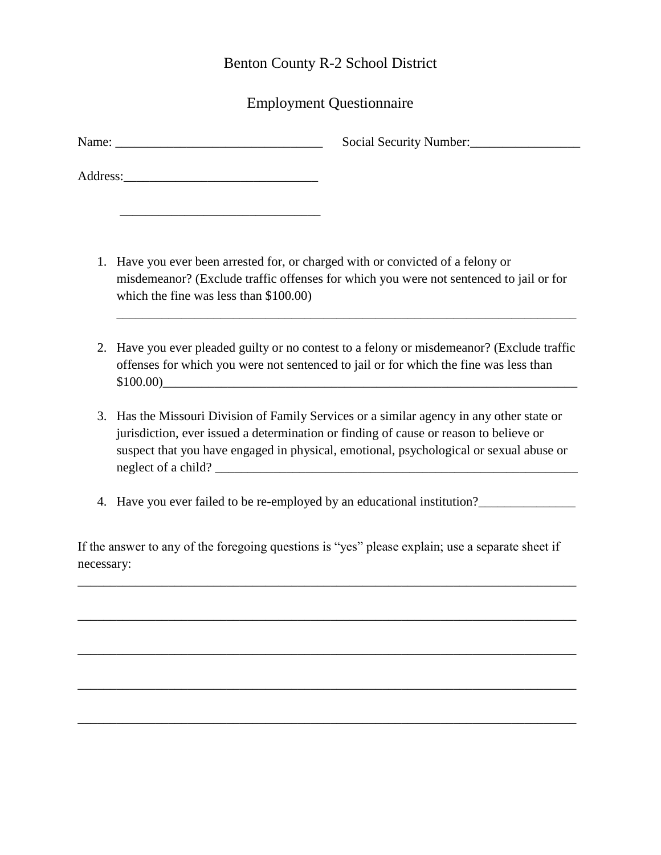# Benton County R-2 School District

# Employment Questionnaire

| Social Security Number:                                                                                                                                                                                                                                                      |  |
|------------------------------------------------------------------------------------------------------------------------------------------------------------------------------------------------------------------------------------------------------------------------------|--|
|                                                                                                                                                                                                                                                                              |  |
| 1. Have you ever been arrested for, or charged with or convicted of a felony or<br>misdemeanor? (Exclude traffic offenses for which you were not sentenced to jail or for<br>which the fine was less than $$100.00$ )                                                        |  |
| 2. Have you ever pleaded guilty or no contest to a felony or misdemeanor? (Exclude traffic<br>offenses for which you were not sentenced to jail or for which the fine was less than<br>$$100.00$ )                                                                           |  |
| 3. Has the Missouri Division of Family Services or a similar agency in any other state or<br>jurisdiction, ever issued a determination or finding of cause or reason to believe or<br>suspect that you have engaged in physical, emotional, psychological or sexual abuse or |  |

4. Have you ever failed to be re-employed by an educational institution?

If the answer to any of the foregoing questions is "yes" please explain; use a separate sheet if necessary:

\_\_\_\_\_\_\_\_\_\_\_\_\_\_\_\_\_\_\_\_\_\_\_\_\_\_\_\_\_\_\_\_\_\_\_\_\_\_\_\_\_\_\_\_\_\_\_\_\_\_\_\_\_\_\_\_\_\_\_\_\_\_\_\_\_\_\_\_\_\_\_\_\_\_\_\_\_

\_\_\_\_\_\_\_\_\_\_\_\_\_\_\_\_\_\_\_\_\_\_\_\_\_\_\_\_\_\_\_\_\_\_\_\_\_\_\_\_\_\_\_\_\_\_\_\_\_\_\_\_\_\_\_\_\_\_\_\_\_\_\_\_\_\_\_\_\_\_\_\_\_\_\_\_\_

\_\_\_\_\_\_\_\_\_\_\_\_\_\_\_\_\_\_\_\_\_\_\_\_\_\_\_\_\_\_\_\_\_\_\_\_\_\_\_\_\_\_\_\_\_\_\_\_\_\_\_\_\_\_\_\_\_\_\_\_\_\_\_\_\_\_\_\_\_\_\_\_\_\_\_\_\_

\_\_\_\_\_\_\_\_\_\_\_\_\_\_\_\_\_\_\_\_\_\_\_\_\_\_\_\_\_\_\_\_\_\_\_\_\_\_\_\_\_\_\_\_\_\_\_\_\_\_\_\_\_\_\_\_\_\_\_\_\_\_\_\_\_\_\_\_\_\_\_\_\_\_\_\_\_

\_\_\_\_\_\_\_\_\_\_\_\_\_\_\_\_\_\_\_\_\_\_\_\_\_\_\_\_\_\_\_\_\_\_\_\_\_\_\_\_\_\_\_\_\_\_\_\_\_\_\_\_\_\_\_\_\_\_\_\_\_\_\_\_\_\_\_\_\_\_\_\_\_\_\_\_\_

neglect of a child? \_\_\_\_\_\_\_\_\_\_\_\_\_\_\_\_\_\_\_\_\_\_\_\_\_\_\_\_\_\_\_\_\_\_\_\_\_\_\_\_\_\_\_\_\_\_\_\_\_\_\_\_\_\_\_\_